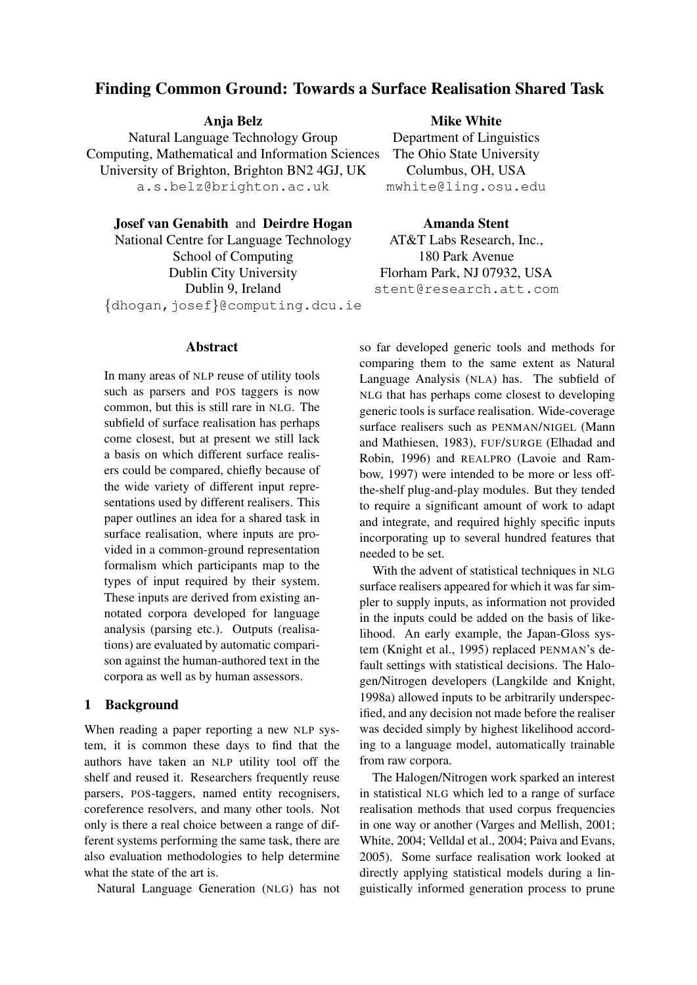# Finding Common Ground: Towards a Surface Realisation Shared Task

Anja Belz Natural Language Technology Group Computing, Mathematical and Information Sciences University of Brighton, Brighton BN2 4GJ, UK a.s.belz@brighton.ac.uk

Josef van Genabith and Deirdre Hogan

National Centre for Language Technology School of Computing Dublin City University Dublin 9, Ireland *{*dhogan,josef*}*@computing.dcu.ie

#### Abstract

In many areas of NLP reuse of utility tools such as parsers and POS taggers is now common, but this is still rare in NLG. The subfield of surface realisation has perhaps come closest, but at present we still lack a basis on which different surface realisers could be compared, chiefly because of the wide variety of different input representations used by different realisers. This paper outlines an idea for a shared task in surface realisation, where inputs are provided in a common-ground representation formalism which participants map to the types of input required by their system. These inputs are derived from existing annotated corpora developed for language analysis (parsing etc.). Outputs (realisations) are evaluated by automatic comparison against the human-authored text in the corpora as well as by human assessors.

#### 1 Background

When reading a paper reporting a new NLP system, it is common these days to find that the authors have taken an NLP utility tool off the shelf and reused it. Researchers frequently reuse parsers, POS-taggers, named entity recognisers, coreference resolvers, and many other tools. Not only is there a real choice between a range of different systems performing the same task, there are also evaluation methodologies to help determine what the state of the art is.

Natural Language Generation (NLG) has not

Mike White

Department of Linguistics The Ohio State University Columbus, OH, USA mwhite@ling.osu.edu

Amanda Stent

AT&T Labs Research, Inc., 180 Park Avenue Florham Park, NJ 07932, USA stent@research.att.com

so far developed generic tools and methods for comparing them to the same extent as Natural Language Analysis (NLA) has. The subfield of NLG that has perhaps come closest to developing generic tools is surface realisation. Wide-coverage surface realisers such as PENMAN/NIGEL (Mann and Mathiesen, 1983), FUF/SURGE (Elhadad and Robin, 1996) and REALPRO (Lavoie and Rambow, 1997) were intended to be more or less offthe-shelf plug-and-play modules. But they tended to require a significant amount of work to adapt and integrate, and required highly specific inputs incorporating up to several hundred features that needed to be set.

With the advent of statistical techniques in NLG surface realisers appeared for which it was far simpler to supply inputs, as information not provided in the inputs could be added on the basis of likelihood. An early example, the Japan-Gloss system (Knight et al., 1995) replaced PENMAN's default settings with statistical decisions. The Halogen/Nitrogen developers (Langkilde and Knight, 1998a) allowed inputs to be arbitrarily underspecified, and any decision not made before the realiser was decided simply by highest likelihood according to a language model, automatically trainable from raw corpora.

The Halogen/Nitrogen work sparked an interest in statistical NLG which led to a range of surface realisation methods that used corpus frequencies in one way or another (Varges and Mellish, 2001; White, 2004; Velldal et al., 2004; Paiva and Evans, 2005). Some surface realisation work looked at directly applying statistical models during a linguistically informed generation process to prune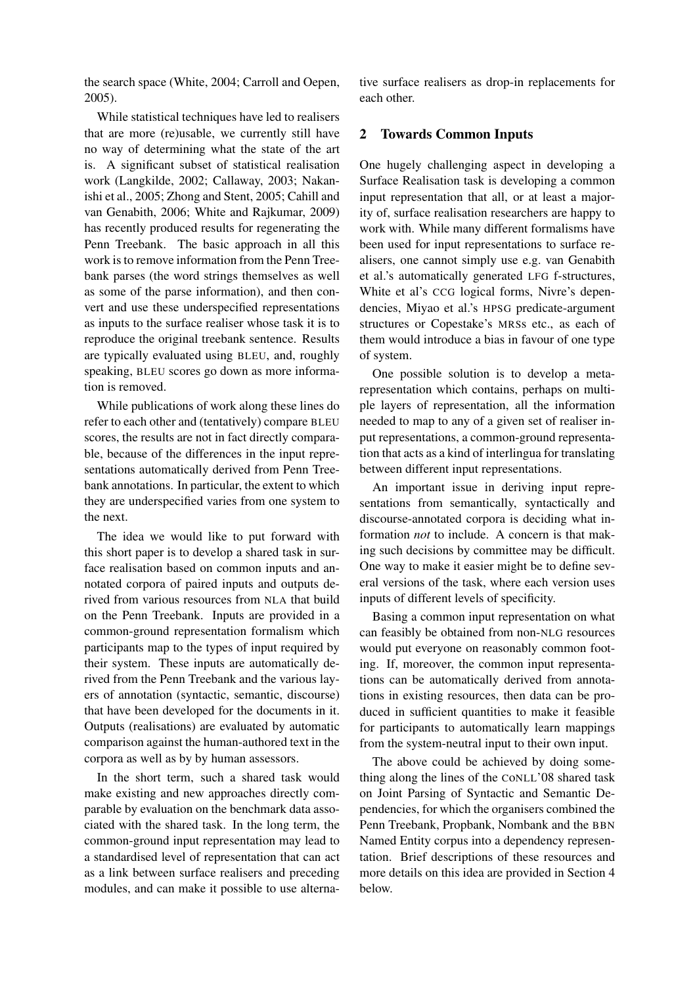the search space (White, 2004; Carroll and Oepen, 2005).

While statistical techniques have led to realisers that are more (re)usable, we currently still have no way of determining what the state of the art is. A significant subset of statistical realisation work (Langkilde, 2002; Callaway, 2003; Nakanishi et al., 2005; Zhong and Stent, 2005; Cahill and van Genabith, 2006; White and Rajkumar, 2009) has recently produced results for regenerating the Penn Treebank. The basic approach in all this work is to remove information from the Penn Treebank parses (the word strings themselves as well as some of the parse information), and then convert and use these underspecified representations as inputs to the surface realiser whose task it is to reproduce the original treebank sentence. Results are typically evaluated using BLEU, and, roughly speaking, BLEU scores go down as more information is removed.

While publications of work along these lines do refer to each other and (tentatively) compare BLEU scores, the results are not in fact directly comparable, because of the differences in the input representations automatically derived from Penn Treebank annotations. In particular, the extent to which they are underspecified varies from one system to the next.

The idea we would like to put forward with this short paper is to develop a shared task in surface realisation based on common inputs and annotated corpora of paired inputs and outputs derived from various resources from NLA that build on the Penn Treebank. Inputs are provided in a common-ground representation formalism which participants map to the types of input required by their system. These inputs are automatically derived from the Penn Treebank and the various layers of annotation (syntactic, semantic, discourse) that have been developed for the documents in it. Outputs (realisations) are evaluated by automatic comparison against the human-authored text in the corpora as well as by by human assessors.

In the short term, such a shared task would make existing and new approaches directly comparable by evaluation on the benchmark data associated with the shared task. In the long term, the common-ground input representation may lead to a standardised level of representation that can act as a link between surface realisers and preceding modules, and can make it possible to use alternative surface realisers as drop-in replacements for each other.

## 2 Towards Common Inputs

One hugely challenging aspect in developing a Surface Realisation task is developing a common input representation that all, or at least a majority of, surface realisation researchers are happy to work with. While many different formalisms have been used for input representations to surface realisers, one cannot simply use e.g. van Genabith et al.'s automatically generated LFG f-structures, White et al's CCG logical forms, Nivre's dependencies, Miyao et al.'s HPSG predicate-argument structures or Copestake's MRSs etc., as each of them would introduce a bias in favour of one type of system.

One possible solution is to develop a metarepresentation which contains, perhaps on multiple layers of representation, all the information needed to map to any of a given set of realiser input representations, a common-ground representation that acts as a kind of interlingua for translating between different input representations.

An important issue in deriving input representations from semantically, syntactically and discourse-annotated corpora is deciding what information *not* to include. A concern is that making such decisions by committee may be difficult. One way to make it easier might be to define several versions of the task, where each version uses inputs of different levels of specificity.

Basing a common input representation on what can feasibly be obtained from non-NLG resources would put everyone on reasonably common footing. If, moreover, the common input representations can be automatically derived from annotations in existing resources, then data can be produced in sufficient quantities to make it feasible for participants to automatically learn mappings from the system-neutral input to their own input.

The above could be achieved by doing something along the lines of the CoNLL'08 shared task on Joint Parsing of Syntactic and Semantic Dependencies, for which the organisers combined the Penn Treebank, Propbank, Nombank and the BBN Named Entity corpus into a dependency representation. Brief descriptions of these resources and more details on this idea are provided in Section 4 below.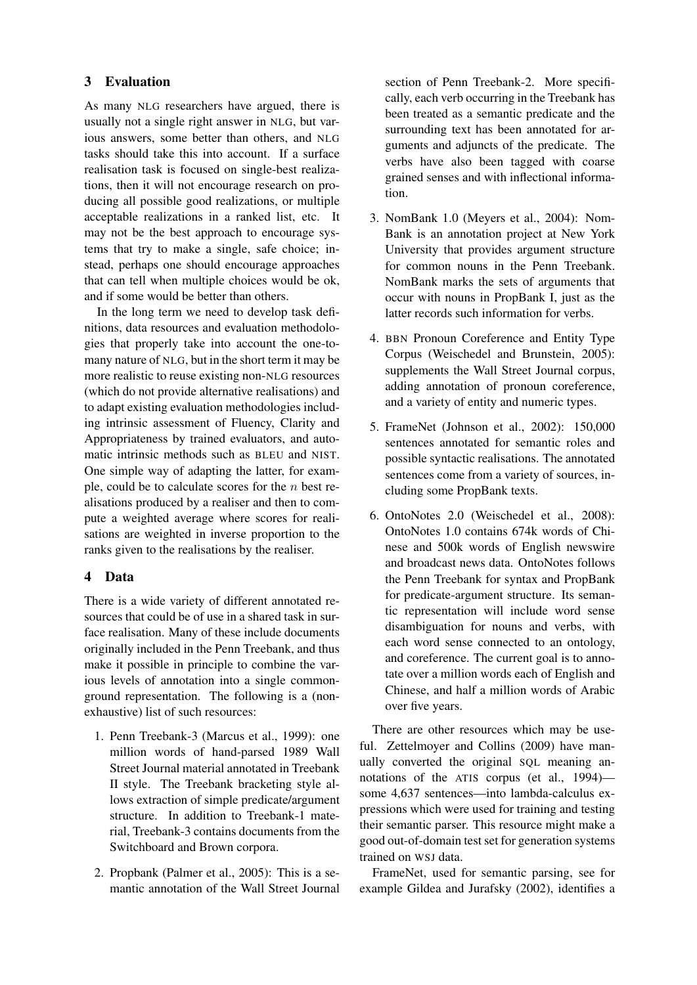# 3 Evaluation

As many NLG researchers have argued, there is usually not a single right answer in NLG, but various answers, some better than others, and NLG tasks should take this into account. If a surface realisation task is focused on single-best realizations, then it will not encourage research on producing all possible good realizations, or multiple acceptable realizations in a ranked list, etc. It may not be the best approach to encourage systems that try to make a single, safe choice; instead, perhaps one should encourage approaches that can tell when multiple choices would be ok, and if some would be better than others.

In the long term we need to develop task definitions, data resources and evaluation methodologies that properly take into account the one-tomany nature of NLG, but in the short term it may be more realistic to reuse existing non-NLG resources (which do not provide alternative realisations) and to adapt existing evaluation methodologies including intrinsic assessment of Fluency, Clarity and Appropriateness by trained evaluators, and automatic intrinsic methods such as BLEU and NIST. One simple way of adapting the latter, for example, could be to calculate scores for the *n* best realisations produced by a realiser and then to compute a weighted average where scores for realisations are weighted in inverse proportion to the ranks given to the realisations by the realiser.

#### 4 Data

There is a wide variety of different annotated resources that could be of use in a shared task in surface realisation. Many of these include documents originally included in the Penn Treebank, and thus make it possible in principle to combine the various levels of annotation into a single commonground representation. The following is a (nonexhaustive) list of such resources:

- 1. Penn Treebank-3 (Marcus et al., 1999): one million words of hand-parsed 1989 Wall Street Journal material annotated in Treebank II style. The Treebank bracketing style allows extraction of simple predicate/argument structure. In addition to Treebank-1 material, Treebank-3 contains documents from the Switchboard and Brown corpora.
- 2. Propbank (Palmer et al., 2005): This is a semantic annotation of the Wall Street Journal

section of Penn Treebank-2. More specifically, each verb occurring in the Treebank has been treated as a semantic predicate and the surrounding text has been annotated for arguments and adjuncts of the predicate. The verbs have also been tagged with coarse grained senses and with inflectional information.

- 3. NomBank 1.0 (Meyers et al., 2004): Nom-Bank is an annotation project at New York University that provides argument structure for common nouns in the Penn Treebank. NomBank marks the sets of arguments that occur with nouns in PropBank I, just as the latter records such information for verbs.
- 4. BBN Pronoun Coreference and Entity Type Corpus (Weischedel and Brunstein, 2005): supplements the Wall Street Journal corpus, adding annotation of pronoun coreference, and a variety of entity and numeric types.
- 5. FrameNet (Johnson et al., 2002): 150,000 sentences annotated for semantic roles and possible syntactic realisations. The annotated sentences come from a variety of sources, including some PropBank texts.
- 6. OntoNotes 2.0 (Weischedel et al., 2008): OntoNotes 1.0 contains 674k words of Chinese and 500k words of English newswire and broadcast news data. OntoNotes follows the Penn Treebank for syntax and PropBank for predicate-argument structure. Its semantic representation will include word sense disambiguation for nouns and verbs, with each word sense connected to an ontology, and coreference. The current goal is to annotate over a million words each of English and Chinese, and half a million words of Arabic over five years.

There are other resources which may be useful. Zettelmoyer and Collins (2009) have manually converted the original SQL meaning annotations of the ATIS corpus (et al., 1994) some 4,637 sentences—into lambda-calculus expressions which were used for training and testing their semantic parser. This resource might make a good out-of-domain test set for generation systems trained on WSJ data.

FrameNet, used for semantic parsing, see for example Gildea and Jurafsky (2002), identifies a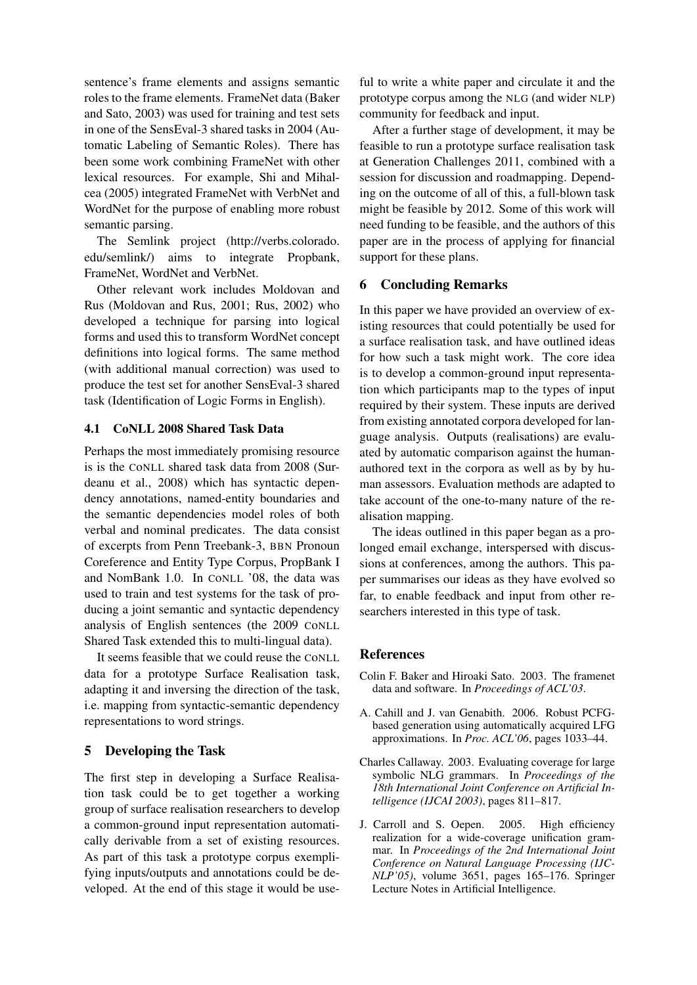sentence's frame elements and assigns semantic roles to the frame elements. FrameNet data (Baker and Sato, 2003) was used for training and test sets in one of the SensEval-3 shared tasks in 2004 (Automatic Labeling of Semantic Roles). There has been some work combining FrameNet with other lexical resources. For example, Shi and Mihalcea (2005) integrated FrameNet with VerbNet and WordNet for the purpose of enabling more robust semantic parsing.

The Semlink project (http://verbs.colorado. edu/semlink/) aims to integrate Propbank, FrameNet, WordNet and VerbNet.

Other relevant work includes Moldovan and Rus (Moldovan and Rus, 2001; Rus, 2002) who developed a technique for parsing into logical forms and used this to transform WordNet concept definitions into logical forms. The same method (with additional manual correction) was used to produce the test set for another SensEval-3 shared task (Identification of Logic Forms in English).

## 4.1 CoNLL 2008 Shared Task Data

Perhaps the most immediately promising resource is is the CoNLL shared task data from 2008 (Surdeanu et al., 2008) which has syntactic dependency annotations, named-entity boundaries and the semantic dependencies model roles of both verbal and nominal predicates. The data consist of excerpts from Penn Treebank-3, BBN Pronoun Coreference and Entity Type Corpus, PropBank I and NomBank 1.0. In CoNLL '08, the data was used to train and test systems for the task of producing a joint semantic and syntactic dependency analysis of English sentences (the 2009 CoNLL Shared Task extended this to multi-lingual data).

It seems feasible that we could reuse the CoNLL data for a prototype Surface Realisation task, adapting it and inversing the direction of the task, i.e. mapping from syntactic-semantic dependency representations to word strings.

# 5 Developing the Task

The first step in developing a Surface Realisation task could be to get together a working group of surface realisation researchers to develop a common-ground input representation automatically derivable from a set of existing resources. As part of this task a prototype corpus exemplifying inputs/outputs and annotations could be developed. At the end of this stage it would be useful to write a white paper and circulate it and the prototype corpus among the NLG (and wider NLP) community for feedback and input.

After a further stage of development, it may be feasible to run a prototype surface realisation task at Generation Challenges 2011, combined with a session for discussion and roadmapping. Depending on the outcome of all of this, a full-blown task might be feasible by 2012. Some of this work will need funding to be feasible, and the authors of this paper are in the process of applying for financial support for these plans.

#### 6 Concluding Remarks

In this paper we have provided an overview of existing resources that could potentially be used for a surface realisation task, and have outlined ideas for how such a task might work. The core idea is to develop a common-ground input representation which participants map to the types of input required by their system. These inputs are derived from existing annotated corpora developed for language analysis. Outputs (realisations) are evaluated by automatic comparison against the humanauthored text in the corpora as well as by by human assessors. Evaluation methods are adapted to take account of the one-to-many nature of the realisation mapping.

The ideas outlined in this paper began as a prolonged email exchange, interspersed with discussions at conferences, among the authors. This paper summarises our ideas as they have evolved so far, to enable feedback and input from other researchers interested in this type of task.

#### References

- Colin F. Baker and Hiroaki Sato. 2003. The framenet data and software. In *Proceedings of ACL'03*.
- A. Cahill and J. van Genabith. 2006. Robust PCFGbased generation using automatically acquired LFG approximations. In *Proc. ACL'06*, pages 1033–44.
- Charles Callaway. 2003. Evaluating coverage for large symbolic NLG grammars. In *Proceedings of the 18th International Joint Conference on Artificial Intelligence (IJCAI 2003)*, pages 811–817.
- J. Carroll and S. Oepen. 2005. High efficiency realization for a wide-coverage unification grammar. In *Proceedings of the 2nd International Joint Conference on Natural Language Processing (IJC-NLP'05)*, volume 3651, pages 165–176. Springer Lecture Notes in Artificial Intelligence.